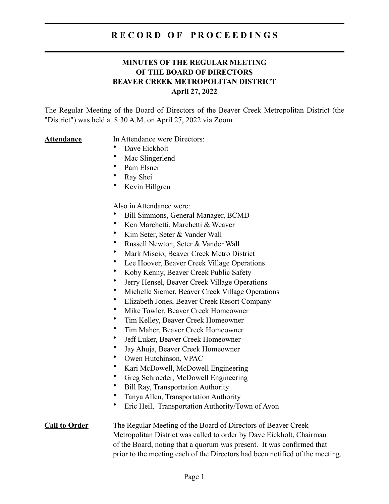#### **MINUTES OF THE REGULAR MEETING OF THE BOARD OF DIRECTORS BEAVER CREEK METROPOLITAN DISTRICT April 27, 2022**

The Regular Meeting of the Board of Directors of the Beaver Creek Metropolitan District (the "District") was held at 8:30 A.M. on April 27, 2022 via Zoom.

#### **Attendance** In Attendance were Directors:

- Dave Eickholt
- Mac Slingerlend
- Pam Elsner
- Ray Shei
- Kevin Hillgren

Also in Attendance were:

- Bill Simmons, General Manager, BCMD
- Ken Marchetti, Marchetti & Weaver
- Kim Seter, Seter & Vander Wall
- Russell Newton, Seter & Vander Wall
- Mark Miscio, Beaver Creek Metro District
- Lee Hoover, Beaver Creek Village Operations
- Koby Kenny, Beaver Creek Public Safety
- Jerry Hensel, Beaver Creek Village Operations
- Michelle Siemer, Beaver Creek Village Operations
- Elizabeth Jones, Beaver Creek Resort Company
- Mike Towler, Beaver Creek Homeowner
- Tim Kelley, Beaver Creek Homeowner
- Tim Maher, Beaver Creek Homeowner
- Jeff Luker, Beaver Creek Homeowner
- Jay Ahuja, Beaver Creek Homeowner
- Owen Hutchinson, VPAC
- Kari McDowell, McDowell Engineering
- Greg Schroeder, McDowell Engineering
- Bill Ray, Transportation Authority
- Tanya Allen, Transportation Authority
- Eric Heil, Transportation Authority/Town of Avon

#### **Call to Order** The Regular Meeting of the Board of Directors of Beaver Creek Metropolitan District was called to order by Dave Eickholt, Chairman of the Board, noting that a quorum was present. It was confirmed that prior to the meeting each of the Directors had been notified of the meeting.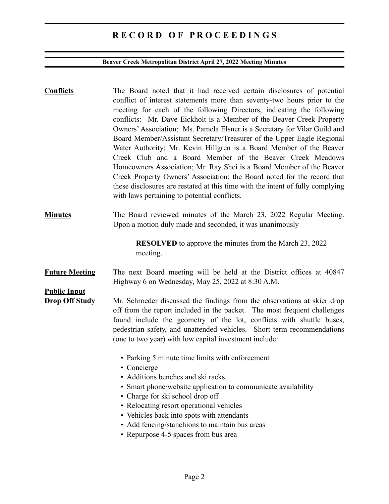## **Beaver Creek Metropolitan District April 27, 2022 Meeting Minutes**

| <b>Conflicts</b>                             | The Board noted that it had received certain disclosures of potential<br>conflict of interest statements more than seventy-two hours prior to the<br>meeting for each of the following Directors, indicating the following<br>conflicts: Mr. Dave Eickholt is a Member of the Beaver Creek Property<br>Owners' Association; Ms. Pamela Elsner is a Secretary for Vilar Guild and<br>Board Member/Assistant Secretary/Treasurer of the Upper Eagle Regional<br>Water Authority; Mr. Kevin Hillgren is a Board Member of the Beaver<br>Creek Club and a Board Member of the Beaver Creek Meadows<br>Homeowners Association; Mr. Ray Shei is a Board Member of the Beaver<br>Creek Property Owners' Association: the Board noted for the record that<br>these disclosures are restated at this time with the intent of fully complying<br>with laws pertaining to potential conflicts. |
|----------------------------------------------|-------------------------------------------------------------------------------------------------------------------------------------------------------------------------------------------------------------------------------------------------------------------------------------------------------------------------------------------------------------------------------------------------------------------------------------------------------------------------------------------------------------------------------------------------------------------------------------------------------------------------------------------------------------------------------------------------------------------------------------------------------------------------------------------------------------------------------------------------------------------------------------|
| <b>Minutes</b>                               | The Board reviewed minutes of the March 23, 2022 Regular Meeting.<br>Upon a motion duly made and seconded, it was unanimously                                                                                                                                                                                                                                                                                                                                                                                                                                                                                                                                                                                                                                                                                                                                                       |
|                                              | <b>RESOLVED</b> to approve the minutes from the March 23, 2022<br>meeting.                                                                                                                                                                                                                                                                                                                                                                                                                                                                                                                                                                                                                                                                                                                                                                                                          |
| <b>Future Meeting</b>                        | The next Board meeting will be held at the District offices at 40847<br>Highway 6 on Wednesday, May 25, 2022 at 8:30 A.M.                                                                                                                                                                                                                                                                                                                                                                                                                                                                                                                                                                                                                                                                                                                                                           |
| <b>Public Input</b><br><b>Drop Off Study</b> | Mr. Schroeder discussed the findings from the observations at skier drop<br>off from the report included in the packet. The most frequent challenges<br>found include the geometry of the lot, conflicts with shuttle buses,<br>pedestrian safety, and unattended vehicles. Short term recommendations<br>(one to two year) with low capital investment include:                                                                                                                                                                                                                                                                                                                                                                                                                                                                                                                    |
|                                              | • Parking 5 minute time limits with enforcement<br>• Concierge<br>• Additions benches and ski racks<br>• Smart phone/website application to communicate availability<br>• Charge for ski school drop off<br>• Relocating resort operational vehicles<br>• Vehicles back into spots with attendants<br>• Add fencing/stanchions to maintain bus areas<br>• Repurpose 4-5 spaces from bus area                                                                                                                                                                                                                                                                                                                                                                                                                                                                                        |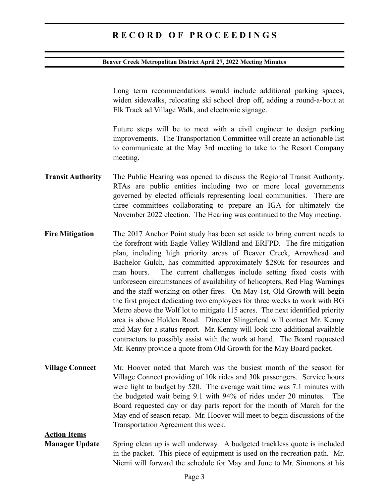#### **Beaver Creek Metropolitan District April 27, 2022 Meeting Minutes**

Long term recommendations would include additional parking spaces, widen sidewalks, relocating ski school drop off, adding a round-a-bout at Elk Track ad Village Walk, and electronic signage.

Future steps will be to meet with a civil engineer to design parking improvements. The Transportation Committee will create an actionable list to communicate at the May 3rd meeting to take to the Resort Company meeting.

- **Transit Authority** The Public Hearing was opened to discuss the Regional Transit Authority. RTAs are public entities including two or more local governments governed by elected officials representing local communities. There are three committees collaborating to prepare an IGA for ultimately the November 2022 election. The Hearing was continued to the May meeting.
- **Fire Mitigation** The 2017 Anchor Point study has been set aside to bring current needs to the forefront with Eagle Valley Wildland and ERFPD. The fire mitigation plan, including high priority areas of Beaver Creek, Arrowhead and Bachelor Gulch, has committed approximately \$280k for resources and man hours. The current challenges include setting fixed costs with unforeseen circumstances of availability of helicopters, Red Flag Warnings and the staff working on other fires. On May 1st, Old Growth will begin the first project dedicating two employees for three weeks to work with BG Metro above the Wolf lot to mitigate 115 acres. The next identified priority area is above Holden Road. Director Slingerlend will contact Mr. Kenny mid May for a status report. Mr. Kenny will look into additional available contractors to possibly assist with the work at hand. The Board requested Mr. Kenny provide a quote from Old Growth for the May Board packet.
- **Village Connect** Mr. Hoover noted that March was the busiest month of the season for Village Connect providing of 10k rides and 30k passengers. Service hours were light to budget by 520. The average wait time was 7.1 minutes with the budgeted wait being 9.1 with 94% of rides under 20 minutes. The Board requested day or day parts report for the month of March for the May end of season recap. Mr. Hoover will meet to begin discussions of the Transportation Agreement this week.

**Action Items**

**Manager Update** Spring clean up is well underway. A budgeted trackless quote is included in the packet. This piece of equipment is used on the recreation path. Mr. Niemi will forward the schedule for May and June to Mr. Simmons at his